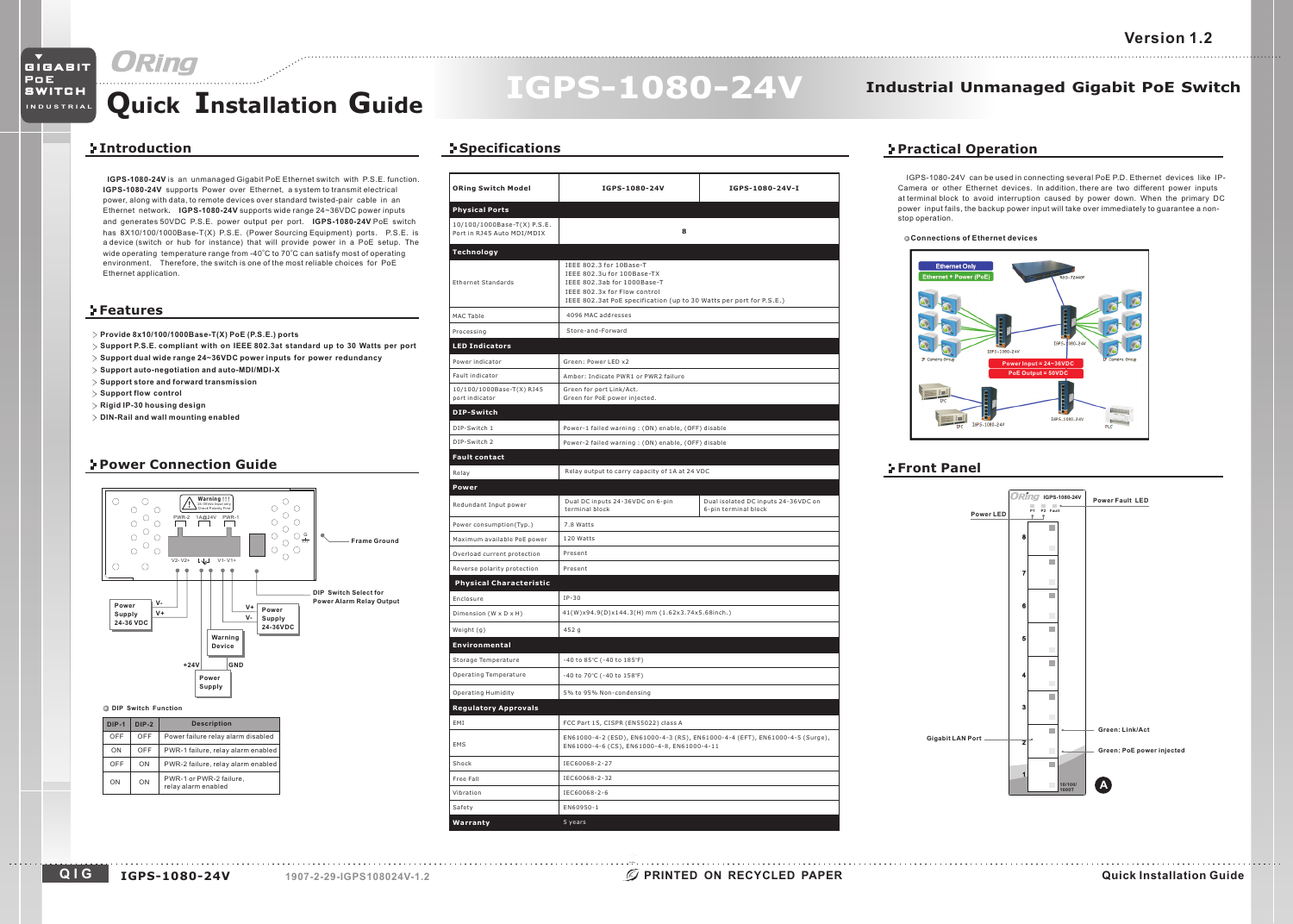# **Quick Installation Guide**

# **IGPS-1080-24V**

## **Industrial Unmanaged Gigabit PoE Switch**

## **Introduction**

**IGPS-1080-24V** is an unmanaged Gigabit PoE Ethernet switch with P.S.E. function. **IGPS-1080-24V** supports Power over Ethernet, a system to transmit electrical power, along with data, to remote devices over standard twisted-pair cable in an Ethernet network. IGPS-1080-24V supports wide range 24~36VDC power inputs and generates 50VDC P.S.E. power output per port. I**GPS-1080-24V** PoE switch has 8X10/100/1000Base-T(X) P.S.E. (Power Sourcing Equipment) ports. P.S.E. is <sup>a</sup> device (switch or hub for instance) that will provide power in <sup>a</sup> PoE setup. The wide operating temperature range from -40°C to 70°C can satisfy most of operating environment. Therefore, the switch is one of the most reliable choices for PoE Ethernet application.

### **Features**

- **Provide 8x10/100/1000Base-T(X) PoE (P.S.E.) ports**
- Support P.S.E. compliant with on IEEE 802.3at standard up to 30 Watts per port
- **Support dual wide range 24~36VDC power inputs for power redundancy**
- **Support auto-negotiation and auto-MDI/MDI-X**
- **Support store and forward transmission**
- **Support flow control**

OFF

ON

ON ON PWR-1 or PWR-2 failure

- **Rigid IP-30 housing design**
- **DIN-Rail and wall mounting enabled**

## **Power Connection Guide**



## **Specifications**

| <b>ORing Switch Model</b>                                 | IGPS-1080-24V                                                                                                                                                                               | IGPS-1080-24V-I                                             |  |  |
|-----------------------------------------------------------|---------------------------------------------------------------------------------------------------------------------------------------------------------------------------------------------|-------------------------------------------------------------|--|--|
| <b>Physical Ports</b>                                     |                                                                                                                                                                                             |                                                             |  |  |
| 10/100/1000Base-T(X) P.S.E.<br>Port in RJ45 Auto MDI/MDIX | 8                                                                                                                                                                                           |                                                             |  |  |
| Technology                                                |                                                                                                                                                                                             |                                                             |  |  |
| <b>Ethernet Standards</b>                                 | IEEE 802.3 for 10Base-T<br>IEEE 802.3u for 100Base-TX<br>IEEE 802.3ab for 1000Base-T<br>IEEE 802.3x for Flow control<br>IEEE 802.3at PoE specification (up to 30 Watts per port for P.S.E.) |                                                             |  |  |
| MAC Table                                                 | 4096 MAC addresses                                                                                                                                                                          |                                                             |  |  |
| Processing                                                | Store-and-Forward                                                                                                                                                                           |                                                             |  |  |
| <b>LED Indicators</b>                                     |                                                                                                                                                                                             |                                                             |  |  |
| Power indicator                                           | Green: Power LED x2                                                                                                                                                                         |                                                             |  |  |
| Fault indicator                                           | Amber: Indicate PWR1 or PWR2 failure                                                                                                                                                        |                                                             |  |  |
| 10/100/1000Base-T(X) RJ45<br>port indicator               | Green for port Link/Act.<br>Green for PoE power injected.                                                                                                                                   |                                                             |  |  |
| DIP-Switch                                                |                                                                                                                                                                                             |                                                             |  |  |
| DIP-Switch 1                                              | Power-1 failed warning: (ON) enable, (OFF) disable                                                                                                                                          |                                                             |  |  |
| DIP-Switch 2                                              | Power-2 failed warning: (ON) enable, (OFF) disable                                                                                                                                          |                                                             |  |  |
| <b>Fault contact</b>                                      |                                                                                                                                                                                             |                                                             |  |  |
| Relay                                                     | Relay output to carry capacity of 1A at 24 VDC                                                                                                                                              |                                                             |  |  |
| Power                                                     |                                                                                                                                                                                             |                                                             |  |  |
| Redundant Input power                                     | Dual DC inputs 24-36VDC on 6-pin<br>terminal block                                                                                                                                          | Dual isolated DC inputs 24-36VDC on<br>6-pin terminal block |  |  |
| Power consumption(Typ.)                                   | 7.8 Watts                                                                                                                                                                                   |                                                             |  |  |
| Maximum available PoE power                               | 120 Watts                                                                                                                                                                                   |                                                             |  |  |
| Overload current protection                               | Present                                                                                                                                                                                     |                                                             |  |  |
| Reverse polarity protection                               | Present                                                                                                                                                                                     |                                                             |  |  |
| <b>Physical Characteristic</b>                            |                                                                                                                                                                                             |                                                             |  |  |
| Enclosure                                                 | $IP-30$                                                                                                                                                                                     |                                                             |  |  |
| Dimension (W x D x H)                                     | 41(W)x94.9(D)x144.3(H) mm (1.62x3.74x5.68inch.)                                                                                                                                             |                                                             |  |  |
| Weight (g)                                                | 452 g                                                                                                                                                                                       |                                                             |  |  |
| Environmental                                             |                                                                                                                                                                                             |                                                             |  |  |
| Storage Temperature                                       | -40 to 85°C (-40 to 185°F)                                                                                                                                                                  |                                                             |  |  |
| Operating Temperature                                     | -40 to 70°C (-40 to 158°F)                                                                                                                                                                  |                                                             |  |  |
| Operating Humidity                                        | 5% to 95% Non-condensing                                                                                                                                                                    |                                                             |  |  |
| <b>Regulatory Approvals</b>                               |                                                                                                                                                                                             |                                                             |  |  |
| EMI                                                       | FCC Part 15, CISPR (EN55022) class A                                                                                                                                                        |                                                             |  |  |
| EMS                                                       | EN61000-4-2 (ESD), EN61000-4-3 (RS), EN61000-4-4 (EFT), EN61000-4-5 (Surge),<br>EN61000-4-6 (CS), EN61000-4-8, EN61000-4-11                                                                 |                                                             |  |  |
| Shock                                                     | IEC60068-2-27                                                                                                                                                                               |                                                             |  |  |
| Free Fall                                                 | IEC60068-2-32                                                                                                                                                                               |                                                             |  |  |
| Vibration                                                 | IEC60068-2-6                                                                                                                                                                                |                                                             |  |  |
| Safety                                                    | EN60950-1                                                                                                                                                                                   |                                                             |  |  |
| Warranty                                                  | 5 years                                                                                                                                                                                     |                                                             |  |  |

## **Practical Operation**

IGPS-1080-24V can be used in connecting several PoE P.D. Ethernet devices like IP-Camera or other Ethernet devices. In addition, there are two different power inputs at terminal block to avoid interruption caused by power down. When the primary DC power input fails, the backup power input will take over immediately to guarantee <sup>a</sup> nonstop operation.

#### **Connections of Ethernet devices**



## **Front Panel**